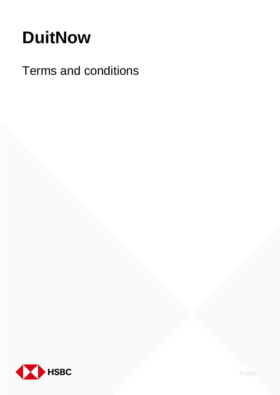# **DuitNow**

# Terms and conditions



PUBLIC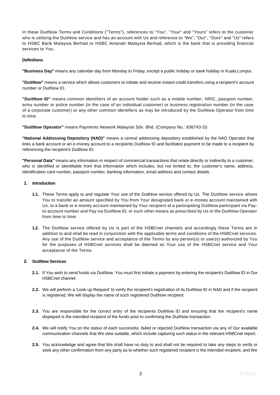In these DuitNow Terms and Conditions ("Terms"), references to "You", "Your" and "Yours" refers to the customer who is utilising the DuitNow service and has an account with Us and reference to "We", "Our", "Ours" and "Us" refers to HSBC Bank Malaysia Berhad or HSBC Amanah Malaysia Berhad, which is the bank that is providing financial services to You.

# **Definitions**

**"Business Day"** means any calendar day from Monday to Friday, except a public holiday or bank holiday in Kuala Lumpur.

**"DuitNow"** means a service which allows customers to initiate and receive instant credit transfers using a recipient's account number or DuitNow ID.

**"DuitNow ID"** means common identifiers of an account holder such as a mobile number, NRIC, passport number, army number or police number (in the case of an individual customer) or business registration number (in the case of a corporate customer) or any other common identifiers as may be introduced by the DuitNow Operator from time to time.

**"DuitNow Operator"** means Payments Network Malaysia Sdn. Bhd. (Company No.: 836743-D)

**"National Addressing Depository (NAD)"** means a central addressing depository established by the NAD Operator that links a bank account or an e-money account to a recipients DuitNow ID and facilitates payment to be made to a recipient by referencing the recipient's DuitNow ID.

**"Personal Data"** means any information in respect of commercial transactions that relate directly or indirectly to a customer, who is identified or identifiable from that information which includes, but not limited to, the customer's name, address, identification card number, passport number, banking information, email address and contact details.

#### **1. Introduction**

- **1.1.** These Terms apply to and regulate Your use of the DuitNow service offered by Us. The DuitNow service allows You to transfer an amount specified by You from Your designated bank or e-money account maintained with Us, to a bank or e-money account maintained by Your recipient at a participating DuitNow participant via Payto-account number and Pay via DuitNow ID, or such other means as prescribed by Us or the DuitNow Operator from time to time.
- **1.2.** The DuitNow service offered by Us is part of the HSBCnet channels and accordingly these Terms are in addition to and shall be read in conjunction with the applicable terms and conditions of the HSBCnet services. Any use of the DuitNow service and acceptance of the Terms by any person(s) or user(s) authorized by You for the purposes of HSBCnet services shall be deemed as Your use of the HSBCnet service and Your acceptance of the Terms.

# **2. DuitNow Services**

- **2.1.** If You wish to send funds via DuitNow, You must first initiate a payment by entering the recipient's DuitNow ID in Our HSBCnet channel.
- **2.2.** We will perform a 'Look-up Request' to verify the recipient's registration of its DuitNow ID in NAD and if the recipient is registered, We will display the name of such registered DuitNow recipient.
- **2.3.** You are responsible for the correct entry of the recipients DuitNow ID and ensuring that the recipient's name displayed is the intended recipient of the funds prior to confirming the DuitNow transaction.
- **2.4.** We will notify You on the status of each successful, failed or rejected DuitNow transaction via any of Our available communication channels that We view suitable, which include capturing such status in the relevant HSBCnet report.
- **2.5.** You acknowledge and agree that We shall have no duty to and shall not be required to take any steps to verify or seek any other confirmation from any party as to whether such registered recipient is the intended recipient, and We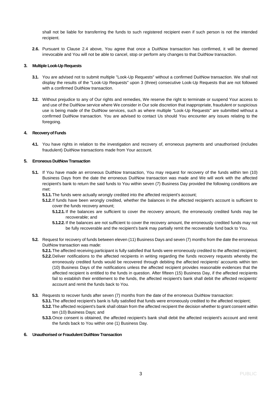shall not be liable for transferring the funds to such registered recipient even if such person is not the intended recipient.

**2.6.** Pursuant to Clause 2.4 above, You agree that once a DuitNow transaction has confirmed, it will be deemed irrevocable and You will not be able to cancel, stop or perform any changes to that DuitNow transaction.

# **3. Multiple Look-Up Requests**

- **3.1.** You are advised not to submit multiple "Look-Up Requests" without a confirmed DuitNow transaction. We shall not display the results of the "Look-Up Requests" upon 3 (three) consecutive Look-Up Requests that are not followed with a confirmed DuitNow transaction.
- **3.2.** Without prejudice to any of Our rights and remedies, We reserve the right to terminate or suspend Your access to and use of the DuitNow service where We consider in Our sole discretion that inappropriate, fraudulent or suspicious use is being made of the DuitNow services, such as where multiple "Look-Up Requests" are submitted without a confirmed DuitNow transaction. You are advised to contact Us should You encounter any issues relating to the foregoing.

#### **4. Recovery of Funds**

**4.1.** You have rights in relation to the investigation and recovery of, erroneous payments and unauthorised (includes fraudulent) DuitNow transactions made from Your account.

# **5. Erroneous DuitNow Transaction**

- **5.1.** If You have made an erroneous DuitNow transaction, You may request for recovery of the funds within ten (10) Business Days from the date the erroneous DuitNow transaction was made and We will work with the affected recipient's bank to return the said funds to You within seven (7) Business Day provided the following conditions are met:
	- **5.1.1.** The funds were actually wrongly credited into the affected recipient's account;
	- **5.1.2.**If funds have been wrongly credited, whether the balances in the affected recipient's account is sufficient to cover the funds recovery amount;
		- **5.1.2.1.** If the balances are sufficient to cover the recovery amount, the erroneously credited funds may be recoverable; and
		- **5.1.2.2.** If the balances are not sufficient to cover the recovery amount, the erroneously credited funds may not be fully recoverable and the recipient's bank may partially remit the recoverable fund back to You.
- **5.2.** Request for recovery of funds between eleven (11) Business Days and seven (7) months from the date the erroneous DuitNow transaction was made:
	- **5.2.1.**The affected receiving participant is fully satisfied that funds were erroneously credited to the affected recipient;
	- **5.2.2.**Deliver notifications to the affected recipients in writing regarding the funds recovery requests whereby the erroneously credited funds would be recovered through debiting the affected recipients' accounts within ten (10) Business Days of the notifications unless the affected recipient provides reasonable evidences that the affected recipient is entitled to the funds in question. After fifteen (15) Business Day, if the affected recipients fail to establish their entitlement to the funds, the affected recipient's bank shall debit the affected recipients' account and remit the funds back to You.
- **5.3.** Requests to recover funds after seven (7) months from the date of the erroneous DuitNow transaction:
	- **5.3.1.**The affected recipient's bank is fully satisfied that funds were erroneously credited to the affected recipient;
	- **5.3.2.**The affected recipient's bank shall obtain from the affected recipient the decision whether to grant consent within ten (10) Business Days; and
	- **5.3.3.**Once consent is obtained, the affected recipient's bank shall debit the affected recipient's account and remit the funds back to You within one (1) Business Day.

#### **6. Unauthorised or Fraudulent DuitNow Transaction**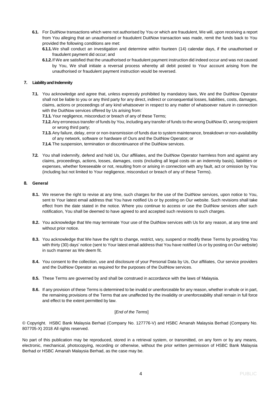- **6.1.** For DuitNow transactions which were not authorised by You or which are fraudulent, We will, upon receiving a report from You alleging that an unauthorised or fraudulent DuitNow transaction was made, remit the funds back to You provided the following conditions are met:
	- **6.1.1.**We shall conduct an investigation and determine within fourteen (14) calendar days, if the unauthorised or fraudulent payment did occur; and
	- **6.1.2.**If We are satisfied that the unauthorised or fraudulent payment instruction did indeed occur and was not caused by You, We shall initiate a reversal process whereby all debit posted to Your account arising from the unauthorised or fraudulent payment instruction would be reversed.

# **7. Liability and Indemnity**

- **7.1.** You acknowledge and agree that, unless expressly prohibited by mandatory laws, We and the DuitNow Operator shall not be liable to you or any third party for any direct, indirect or consequential losses, liabilities, costs, damages, claims, actions or proceedings of any kind whatsoever in respect to any matter of whatsoever nature in connection with the DuitNow services offered by Us arising from:
	- **7.1.1.** Your negligence, misconduct or breach of any of these Terms;
	- **7.1.2.** Any erroneous transfer of funds by You, including any transfer of funds to the wrong DuitNow ID, wrong recipient or wrong third party;
	- **7.1.3.** Any failure, delay, error or non-transmission of funds due to system maintenance, breakdown or non-availability of any network, software or hardware of Ours and the DuitNow Operator; or
	- **7.1.4.** The suspension, termination or discontinuance of the DuitNow services.
- **7.2.** You shall indemnify, defend and hold Us, Our affiliates, and the DuitNow Operator harmless from and against any claims, proceedings, actions, losses, damages, costs (including all legal costs on an indemnity basis), liabilities or expenses, whether foreseeable or not, resulting from or arising in connection with any fault, act or omission by You (including but not limited to Your negligence, misconduct or breach of any of these Terms).

# **8. General**

- **8.1.** We reserve the right to revise at any time, such charges for the use of the DuitNow services, upon notice to You, sent to Your latest email address that You have notified Us or by posting on Our website. Such revisions shall take effect from the date stated in the notice. Where you continue to access or use the DuitNow services after such notification, You shall be deemed to have agreed to and accepted such revisions to such charges.
- **8.2.** You acknowledge that We may terminate Your use of the DuitNow services with Us for any reason, at any time and without prior notice.
- **8.3.** You acknowledge that We have the right to change, restrict, vary, suspend or modify these Terms by providing You with thirty (30) days' notice (sent to Your latest email address that You have notified Us or by posting on Our website) in such manner as We deem fit.
- **8.4.** You consent to the collection, use and disclosure of your Personal Data by Us, Our affiliates, Our service providers and the DuitNow Operator as required for the purposes of the DuitNow services.
- **8.5.** These Terms are governed by and shall be construed in accordance with the laws of Malaysia.
- **8.6.** If any provision of these Terms is determined to be invalid or unenforceable for any reason, whether in whole or in part, the remaining provisions of the Terms that are unaffected by the invalidity or unenforceability shall remain in full force and effect to the extent permitted by law.

# [*End of the Terms*]

© Copyright. HSBC Bank Malaysia Berhad (Company No. 127776-V) and HSBC Amanah Malaysia Berhad (Company No. 807705-X) 2018 All rights reserved.

No part of this publication may be reproduced, stored in a retrieval system, or transmitted, on any form or by any means, electronic, mechanical, photocopying, recording or otherwise, without the prior written permission of HSBC Bank Malaysia Berhad or HSBC Amanah Malaysia Berhad, as the case may be.